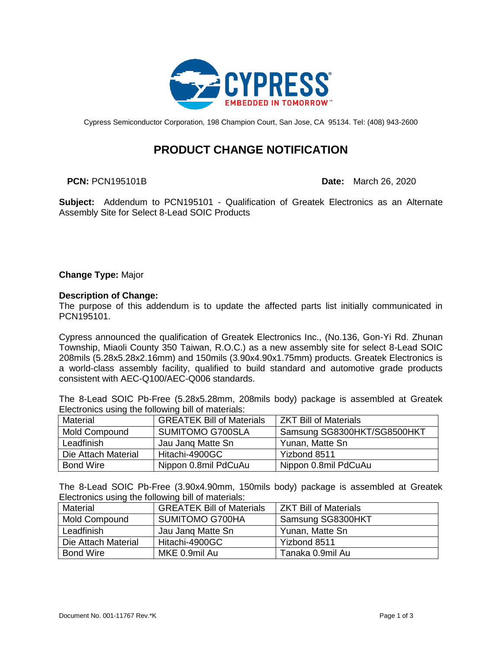

Cypress Semiconductor Corporation, 198 Champion Court, San Jose, CA 95134. Tel: (408) 943-2600

# **PRODUCT CHANGE NOTIFICATION**

**PCN:** PCN195101B **Date:** March 26, 2020

**Subject:** Addendum to PCN195101 - Qualification of Greatek Electronics as an Alternate Assembly Site for Select 8-Lead SOIC Products

**Change Type:** Major

# **Description of Change:**

The purpose of this addendum is to update the affected parts list initially communicated in PCN195101.

Cypress announced the qualification of Greatek Electronics Inc., (No.136, Gon-Yi Rd. Zhunan Township, Miaoli County 350 Taiwan, R.O.C.) as a new assembly site for select 8-Lead SOIC 208mils (5.28x5.28x2.16mm) and 150mils (3.90x4.90x1.75mm) products. Greatek Electronics is a world-class assembly facility, qualified to build standard and automotive grade products consistent with AEC-Q100/AEC-Q006 standards.

The 8-Lead SOIC Pb-Free (5.28x5.28mm, 208mils body) package is assembled at Greatek Electronics using the following bill of materials:

| Material             | <b>GREATEK Bill of Materials</b> | <b>ZKT Bill of Materials</b> |
|----------------------|----------------------------------|------------------------------|
| <b>Mold Compound</b> | <b>SUMITOMO G700SLA</b>          | Samsung SG8300HKT/SG8500HKT  |
| Leadfinish           | Jau Jang Matte Sn                | Yunan, Matte Sn              |
| Die Attach Material  | Hitachi-4900GC                   | Yizbond 8511                 |
| <b>Bond Wire</b>     | Nippon 0.8mil PdCuAu             | Nippon 0.8mil PdCuAu         |

The 8-Lead SOIC Pb-Free (3.90x4.90mm, 150mils body) package is assembled at Greatek Electronics using the following bill of materials:

| Material             | <b>GREATEK Bill of Materials</b> | <b>ZKT Bill of Materials</b> |
|----------------------|----------------------------------|------------------------------|
| <b>Mold Compound</b> | SUMITOMO G700HA                  | Samsung SG8300HKT            |
| Leadfinish           | Jau Jang Matte Sn                | Yunan, Matte Sn              |
| Die Attach Material  | Hitachi-4900GC                   | Yizbond 8511                 |
| <b>Bond Wire</b>     | MKE 0.9mil Au                    | Tanaka 0.9mil Au             |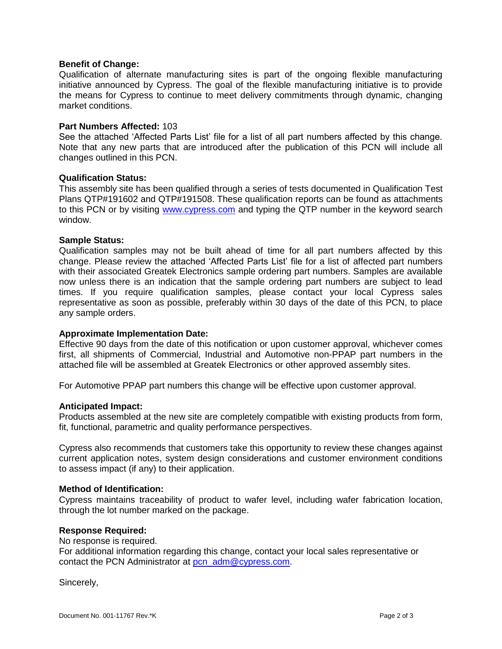## **Benefit of Change:**

Qualification of alternate manufacturing sites is part of the ongoing flexible manufacturing initiative announced by Cypress. The goal of the flexible manufacturing initiative is to provide the means for Cypress to continue to meet delivery commitments through dynamic, changing market conditions.

# **Part Numbers Affected:** 103

See the attached 'Affected Parts List' file for a list of all part numbers affected by this change. Note that any new parts that are introduced after the publication of this PCN will include all changes outlined in this PCN.

#### **Qualification Status:**

This assembly site has been qualified through a series of tests documented in Qualification Test Plans QTP#191602 and QTP#191508. These qualification reports can be found as attachments to this PCN or by visiting [www.cypress.com](http://www.cypress.com/) and typing the QTP number in the keyword search window.

#### **Sample Status:**

Qualification samples may not be built ahead of time for all part numbers affected by this change. Please review the attached 'Affected Parts List' file for a list of affected part numbers with their associated Greatek Electronics sample ordering part numbers. Samples are available now unless there is an indication that the sample ordering part numbers are subject to lead times. If you require qualification samples, please contact your local Cypress sales representative as soon as possible, preferably within 30 days of the date of this PCN, to place any sample orders.

# **Approximate Implementation Date:**

Effective 90 days from the date of this notification or upon customer approval, whichever comes first, all shipments of Commercial, Industrial and Automotive non-PPAP part numbers in the attached file will be assembled at Greatek Electronics or other approved assembly sites.

For Automotive PPAP part numbers this change will be effective upon customer approval.

#### **Anticipated Impact:**

Products assembled at the new site are completely compatible with existing products from form, fit, functional, parametric and quality performance perspectives.

Cypress also recommends that customers take this opportunity to review these changes against current application notes, system design considerations and customer environment conditions to assess impact (if any) to their application.

#### **Method of Identification:**

Cypress maintains traceability of product to wafer level, including wafer fabrication location, through the lot number marked on the package.

#### **Response Required:**

No response is required.

For additional information regarding this change, contact your local sales representative or contact the PCN Administrator at [pcn\\_adm@cypress.com.](mailto:pcn_adm@cypress.com)

Sincerely,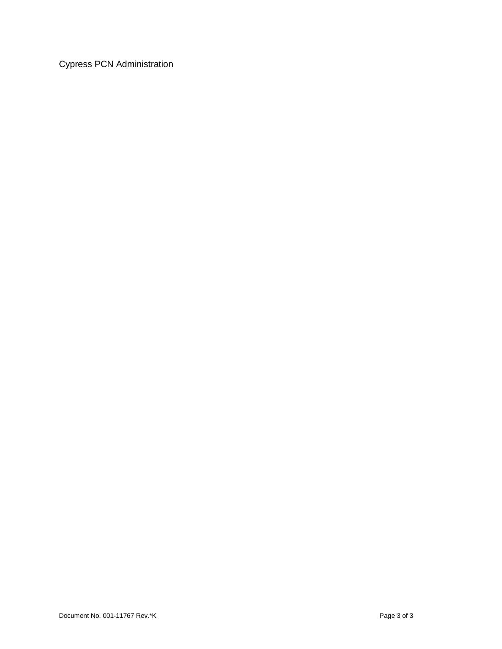Cypress PCN Administration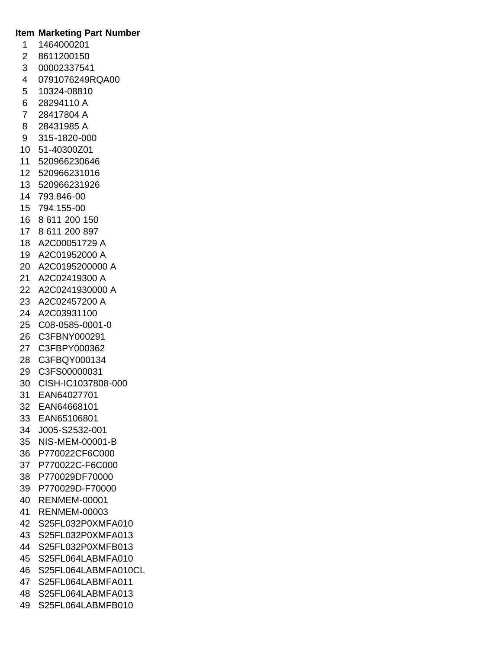# **Item Marketing Part Number**

- 1464000201
- 8611200150
- 00002337541
- 0791076249RQA00
- 10324-08810
- 28294110 A
- 28417804 A
- 28431985 A
- 315-1820-000
- 51-40300Z01
- 520966230646
- 520966231016
- 520966231926
- 793.846-00
- 794.155-00
- 8 611 200 150
- 8 611 200 897
- A2C00051729 A
- A2C01952000 A
- A2C0195200000 A
- A2C02419300 A
- A2C0241930000 A
- A2C02457200 A
- A2C03931100
- C08-0585-0001-0
- C3FBNY000291
- C3FBPY000362
- C3FBQY000134
- C3FS00000031
- CISH-IC1037808-000
- EAN64027701
- EAN64668101
- EAN65106801
- J005-S2532-001
- NIS-MEM-00001-B
- P770022CF6C000
- P770022C-F6C000
- P770029DF70000
- P770029D-F70000
- RENMEM-00001
- RENMEM-00003
- S25FL032P0XMFA010
- S25FL032P0XMFA013
- S25FL032P0XMFB013
- S25FL064LABMFA010
- S25FL064LABMFA010CL
- S25FL064LABMFA011
- S25FL064LABMFA013
- S25FL064LABMFB010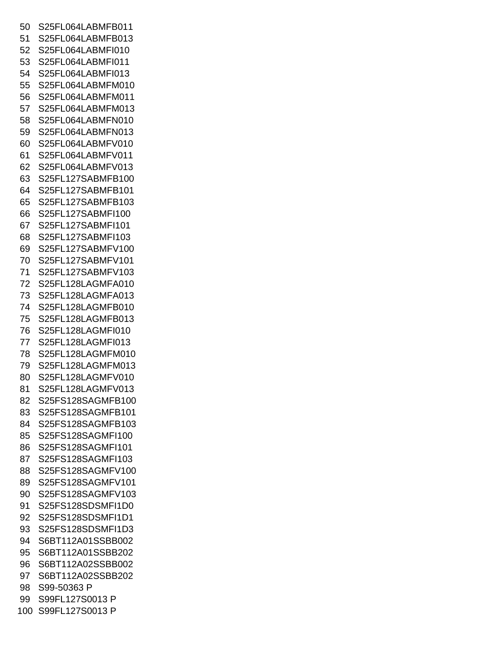S25FL064LABMFB011 S25FL064LABMFB013 S25FL064LABMFI010 S25FL064LABMFI011 S25FL064LABMFI013 S25FL064LABMFM010 S25FL064LABMFM011 S25FL064LABMFM013 S25FL064LABMFN010 S25FL064LABMFN013 S25FL064LABMFV010 S25FL064LABMFV011 S25FL064LABMFV013 S25FL127SABMFB100 S25FL127SABMFB101 S25FL127SABMFB103 S25FL127SABMFI100 S25FL127SABMFI101 S25FL127SABMFI103 S25FL127SABMFV100 S25FL127SABMFV101 S25FL127SABMFV103 S25FL128LAGMFA010 S25FL128LAGMFA013 S25FL128LAGMFB010 S25FL128LAGMFB013 S25FL128LAGMFI010 S25FL128LAGMFI013 S25FL128LAGMFM010 S25FL128LAGMFM013 S25FL128LAGMFV010 S25FL128LAGMFV013 S25FS128SAGMFB100 S25FS128SAGMFB101 S25FS128SAGMFB103 S25FS128SAGMFI100 S25FS128SAGMFI101 S25FS128SAGMFI103 S25FS128SAGMFV100 S25FS128SAGMFV101 S25FS128SAGMFV103 S25FS128SDSMFI1D0 S25FS128SDSMFI1D1 S25FS128SDSMFI1D3 S6BT112A01SSBB002 S6BT112A01SSBB202 S6BT112A02SSBB002 S6BT112A02SSBB202 S99-50363 P S99FL127S0013 P S99FL127S0013 P